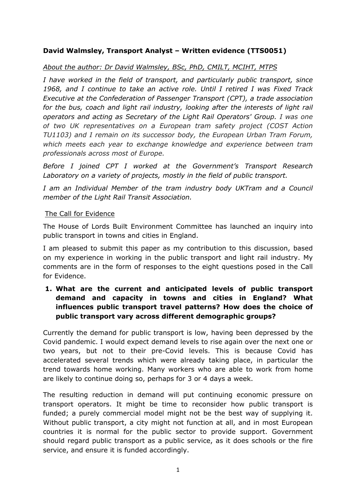# **David Walmsley, Transport Analyst – Written evidence (TTS0051)**

# *About the author: Dr David Walmsley, BSc, PhD, CMILT, MCIHT, MTPS*

*I have worked in the field of transport, and particularly public transport, since 1968, and I continue to take an active role. Until I retired I was Fixed Track Executive at the Confederation of Passenger Transport (CPT), a trade association for the bus, coach and light rail industry, looking after the interests of light rail operators and acting as Secretary of the Light Rail Operators' Group. I was one of two UK representatives on a European tram safety project (COST Action TU1103) and I remain on its successor body, the European Urban Tram Forum, which meets each year to exchange knowledge and experience between tram professionals across most of Europe.*

*Before I joined CPT I worked at the Government's Transport Research Laboratory on a variety of projects, mostly in the field of public transport.*

*I am an Individual Member of the tram industry body UKTram and a Council member of the Light Rail Transit Association.*

#### The Call for Evidence

The House of Lords Built Environment Committee has launched an inquiry into public transport in towns and cities in England.

I am pleased to submit this paper as my contribution to this discussion, based on my experience in working in the public transport and light rail industry. My comments are in the form of responses to the eight questions posed in the Call for Evidence.

# **1. What are the current and anticipated levels of public transport demand and capacity in towns and cities in England? What influences public transport travel patterns? How does the choice of public transport vary across different demographic groups?**

Currently the demand for public transport is low, having been depressed by the Covid pandemic. I would expect demand levels to rise again over the next one or two years, but not to their pre-Covid levels. This is because Covid has accelerated several trends which were already taking place, in particular the trend towards home working. Many workers who are able to work from home are likely to continue doing so, perhaps for 3 or 4 days a week.

The resulting reduction in demand will put continuing economic pressure on transport operators. It might be time to reconsider how public transport is funded; a purely commercial model might not be the best way of supplying it. Without public transport, a city might not function at all, and in most European countries it is normal for the public sector to provide support. Government should regard public transport as a public service, as it does schools or the fire service, and ensure it is funded accordingly.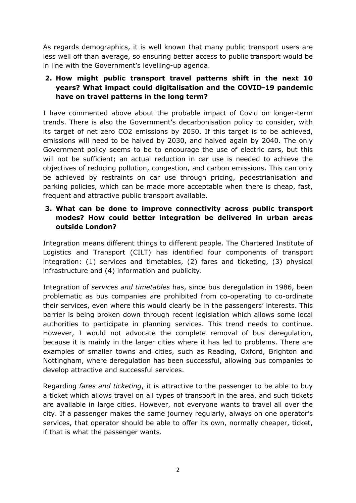As regards demographics, it is well known that many public transport users are less well off than average, so ensuring better access to public transport would be in line with the Government's levelling-up agenda.

# **2. How might public transport travel patterns shift in the next 10 years? What impact could digitalisation and the COVID-19 pandemic have on travel patterns in the long term?**

I have commented above about the probable impact of Covid on longer-term trends. There is also the Government's decarbonisation policy to consider, with its target of net zero CO2 emissions by 2050. If this target is to be achieved, emissions will need to be halved by 2030, and halved again by 2040. The only Government policy seems to be to encourage the use of electric cars, but this will not be sufficient; an actual reduction in car use is needed to achieve the objectives of reducing pollution, congestion, and carbon emissions. This can only be achieved by restraints on car use through pricing, pedestrianisation and parking policies, which can be made more acceptable when there is cheap, fast, frequent and attractive public transport available.

### **3. What can be done to improve connectivity across public transport modes? How could better integration be delivered in urban areas outside London?**

Integration means different things to different people. The Chartered Institute of Logistics and Transport (CILT) has identified four components of transport integration: (1) services and timetables, (2) fares and ticketing, (3) physical infrastructure and (4) information and publicity.

Integration of *services and timetables* has, since bus deregulation in 1986, been problematic as bus companies are prohibited from co-operating to co-ordinate their services, even where this would clearly be in the passengers' interests. This barrier is being broken down through recent legislation which allows some local authorities to participate in planning services. This trend needs to continue. However, I would not advocate the complete removal of bus deregulation, because it is mainly in the larger cities where it has led to problems. There are examples of smaller towns and cities, such as Reading, Oxford, Brighton and Nottingham, where deregulation has been successful, allowing bus companies to develop attractive and successful services.

Regarding *fares and ticketing*, it is attractive to the passenger to be able to buy a ticket which allows travel on all types of transport in the area, and such tickets are available in large cities. However, not everyone wants to travel all over the city. If a passenger makes the same journey regularly, always on one operator's services, that operator should be able to offer its own, normally cheaper, ticket, if that is what the passenger wants.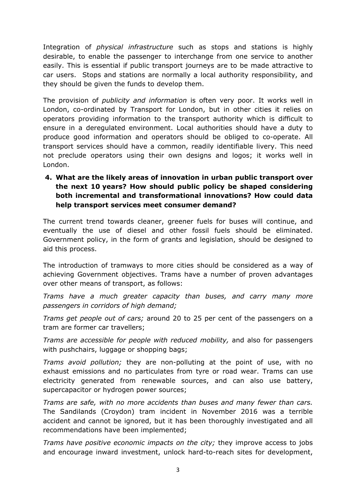Integration of *physical infrastructure* such as stops and stations is highly desirable, to enable the passenger to interchange from one service to another easily. This is essential if public transport journeys are to be made attractive to car users. Stops and stations are normally a local authority responsibility, and they should be given the funds to develop them.

The provision of *publicity and information* is often very poor. It works well in London, co-ordinated by Transport for London, but in other cities it relies on operators providing information to the transport authority which is difficult to ensure in a deregulated environment. Local authorities should have a duty to produce good information and operators should be obliged to co-operate. All transport services should have a common, readily identifiable livery. This need not preclude operators using their own designs and logos; it works well in London.

**4. What are the likely areas of innovation in urban public transport over the next 10 years? How should public policy be shaped considering both incremental and transformational innovations? How could data help transport services meet consumer demand?**

The current trend towards cleaner, greener fuels for buses will continue, and eventually the use of diesel and other fossil fuels should be eliminated. Government policy, in the form of grants and legislation, should be designed to aid this process.

The introduction of tramways to more cities should be considered as a way of achieving Government objectives. Trams have a number of proven advantages over other means of transport, as follows:

*Trams have a much greater capacity than buses, and carry many more passengers in corridors of high demand;*

*Trams get people out of cars;* around 20 to 25 per cent of the passengers on a tram are former car travellers;

*Trams are accessible for people with reduced mobility,* and also for passengers with pushchairs, luggage or shopping bags;

*Trams avoid pollution;* they are non-polluting at the point of use, with no exhaust emissions and no particulates from tyre or road wear. Trams can use electricity generated from renewable sources, and can also use battery, supercapacitor or hydrogen power sources;

*Trams are safe, with no more accidents than buses and many fewer than cars.* The Sandilands (Croydon) tram incident in November 2016 was a terrible accident and cannot be ignored, but it has been thoroughly investigated and all recommendations have been implemented;

*Trams have positive economic impacts on the city;* they improve access to jobs and encourage inward investment, unlock hard-to-reach sites for development,